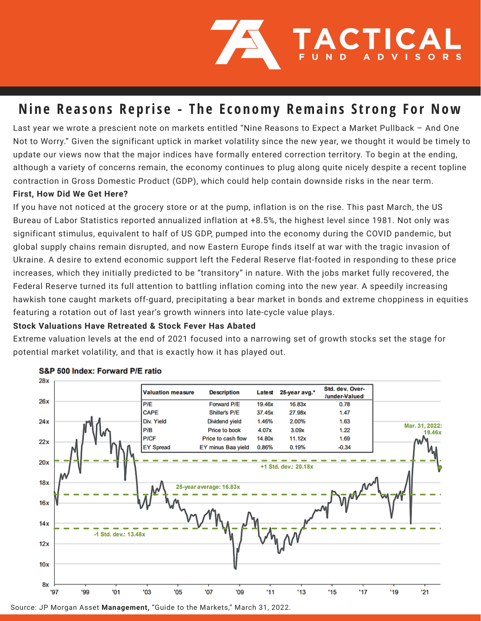

## Nine Reasons Reprise - The Economy Remains Strong For Now

Last year we wrote a prescient note on markets entitled "Nine Reasons to Expect a Market Pullback – And One Not to Worry." Given the significant uptick in market volatility since the new year, we thought it would be timely to update our views now that the major indices have formally entered correction territory. To begin at the ending, although a variety of concerns remain, the economy continues to plug along quite nicely despite a recent topline contraction in Gross Domestic Product (GDP), which could help contain downside risks in the near term.

## **First, How Did We Get Here?**

If you have not noticed at the grocery store or at the pump, inflation is on the rise. This past March, the US Bureau of Labor Statistics reported annualized inflation at +8.5%, the highest level since 1981. Not only was significant stimulus, equivalent to half of US GDP, pumped into the economy during the COVID pandemic, but global supply chains remain disrupted, and now Eastern Europe finds itself at war with the tragic invasion of Ukraine. A desire to extend economic support left the Federal Reserve flat-footed in responding to these price increases, which they initially predicted to be "transitory" in nature. With the jobs market fully recovered, the Federal Reserve turned its full attention to battling inflation coming into the new year. A speedily increasing hawkish tone caught markets off-guard, precipitating a bear market in bonds and extreme choppiness in equities featuring a rotation out of last year's growth winners into late-cycle value plays.

## **Stock Valuations Have Retreated & Stock Fever Has Abated**

Extreme valuation levels at the end of 2021 focused into a narrowing set of growth stocks set the stage for potential market volatility, and that is exactly how it has played out.



#### S&P 500 Index: Forward P/E ratio

Source: JP Morgan Asset **Management,** "Guide to the Markets," March 31, 2022.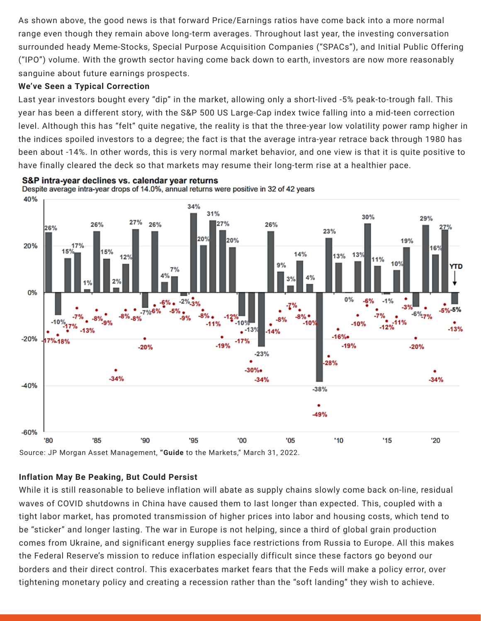As shown above, the good news is that forward Price/Earnings ratios have come back into a more normal range even though they remain above long-term averages. Throughout last year, the investing conversation surrounded heady Meme-Stocks, Special Purpose Acquisition Companies ("SPACs"), and Initial Public Offering ("IPO") volume. With the growth sector having come back down to earth, investors are now more reasonably sanguine about future earnings prospects.

## **We've Seen a Typical Correction**

Last year investors bought every "dip" in the market, allowing only a short-lived -5% peak-to-trough fall. This year has been a different story, with the S&P 500 US Large-Cap index twice falling into a mid-teen correction level. Although this has "felt" quite negative, the reality is that the three-year low volatility power ramp higher in the indices spoiled investors to a degree; the fact is that the average intra-year retrace back through 1980 has been about -14%. In other words, this is very normal market behavior, and one view is that it is quite positive to have finally cleared the deck so that markets may resume their long-term rise at a healthier pace.



S&P intra-year declines vs. calendar year returns Despite average intra-year drops of 14.0%, annual returns were positive in 32 of 42 years

Source: JP Morgan Asset Management, **"Guide** to the Markets," March 31, 2022.

## **Inflation May Be Peaking, But Could Persist**

While it is still reasonable to believe inflation will abate as supply chains slowly come back on-line, residual waves of COVID shutdowns in China have caused them to last longer than expected. This, coupled with a tight labor market, has promoted transmission of higher prices into labor and housing costs, which tend to be "sticker" and longer lasting. The war in Europe is not helping, since a third of global grain production comes from Ukraine, and significant energy supplies face restrictions from Russia to Europe. All this makes the Federal Reserve's mission to reduce inflation especially difficult since these factors go beyond our borders and their direct control. This exacerbates market fears that the Feds will make a policy error, over tightening monetary policy and creating a recession rather than the "soft landing" they wish to achieve.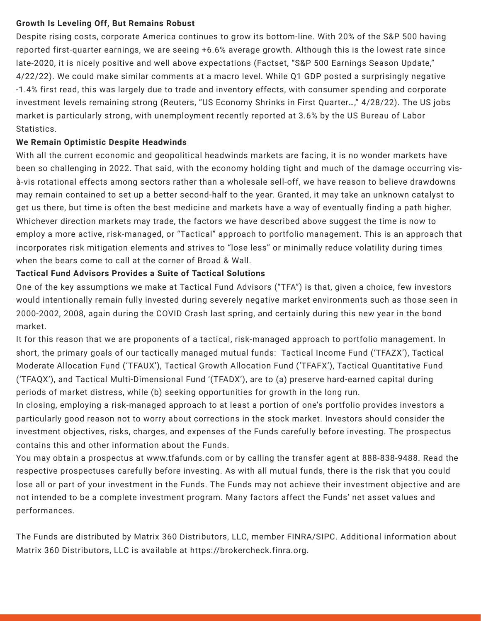## **Growth Is Leveling Off, But Remains Robust**

Despite rising costs, corporate America continues to grow its bottom-line. With 20% of the S&P 500 having reported first-quarter earnings, we are seeing +6.6% average growth. Although this is the lowest rate since late-2020, it is nicely positive and well above expectations (Factset, "S&P 500 Earnings Season Update," 4/22/22). We could make similar comments at a macro level. While Q1 GDP posted a surprisingly negative -1.4% first read, this was largely due to trade and inventory effects, with consumer spending and corporate investment levels remaining strong (Reuters, "US Economy Shrinks in First Quarter…," 4/28/22). The US jobs market is particularly strong, with unemployment recently reported at 3.6% by the US Bureau of Labor Statistics.

## **We Remain Optimistic Despite Headwinds**

With all the current economic and geopolitical headwinds markets are facing, it is no wonder markets have been so challenging in 2022. That said, with the economy holding tight and much of the damage occurring visà-vis rotational effects among sectors rather than a wholesale sell-off, we have reason to believe drawdowns may remain contained to set up a better second-half to the year. Granted, it may take an unknown catalyst to get us there, but time is often the best medicine and markets have a way of eventually finding a path higher. Whichever direction markets may trade, the factors we have described above suggest the time is now to employ a more active, risk-managed, or "Tactical" approach to portfolio management. This is an approach that incorporates risk mitigation elements and strives to "lose less" or minimally reduce volatility during times when the bears come to call at the corner of Broad & Wall.

## **Tactical Fund Advisors Provides a Suite of Tactical Solutions**

One of the key assumptions we make at Tactical Fund Advisors ("TFA") is that, given a choice, few investors would intentionally remain fully invested during severely negative market environments such as those seen in 2000-2002, 2008, again during the COVID Crash last spring, and certainly during this new year in the bond market.

It for this reason that we are proponents of a tactical, risk-managed approach to portfolio management. In short, the primary goals of our tactically managed mutual funds: Tactical Income Fund ('TFAZX'), Tactical Moderate Allocation Fund ('TFAUX'), Tactical Growth Allocation Fund ('TFAFX'), Tactical Quantitative Fund ('TFAQX'), and Tactical Multi-Dimensional Fund '(TFADX'), are to (a) preserve hard-earned capital during periods of market distress, while (b) seeking opportunities for growth in the long run.

In closing, employing a risk-managed approach to at least a portion of one's portfolio provides investors a particularly good reason not to worry about corrections in the stock market. Investors should consider the investment objectives, risks, charges, and expenses of the Funds carefully before investing. The prospectus contains this and other information about the Funds.

You may obtain a prospectus at www.tfafunds.com or by calling the transfer agent at 888-838-9488. Read the respective prospectuses carefully before investing. As with all mutual funds, there is the risk that you could lose all or part of your investment in the Funds. The Funds may not achieve their investment objective and are not intended to be a complete investment program. Many factors affect the Funds' net asset values and performances.

The Funds are distributed by Matrix 360 Distributors, LLC, member FINRA/SIPC. Additional information about Matrix 360 Distributors, LLC is available at https://brokercheck.finra.org.